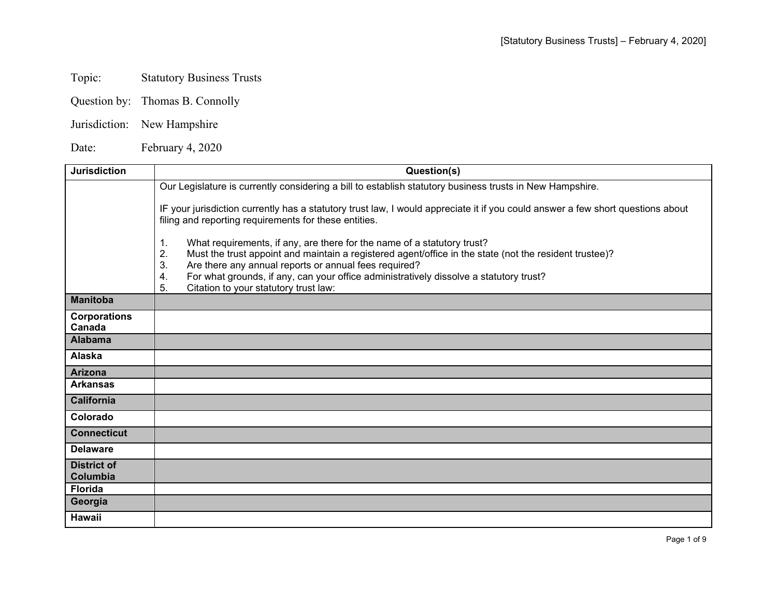## Topic: Statutory Business Trusts

- Question by: Thomas B. Connolly
- Jurisdiction: New Hampshire

Date: February 4, 2020

| <b>Jurisdiction</b>            | Question(s)                                                                                                                                                                                                                                                  |
|--------------------------------|--------------------------------------------------------------------------------------------------------------------------------------------------------------------------------------------------------------------------------------------------------------|
|                                | Our Legislature is currently considering a bill to establish statutory business trusts in New Hampshire.                                                                                                                                                     |
|                                | IF your jurisdiction currently has a statutory trust law, I would appreciate it if you could answer a few short questions about<br>filing and reporting requirements for these entities.                                                                     |
|                                | What requirements, if any, are there for the name of a statutory trust?<br>1.<br>2.<br>Must the trust appoint and maintain a registered agent/office in the state (not the resident trustee)?<br>3.<br>Are there any annual reports or annual fees required? |
|                                | For what grounds, if any, can your office administratively dissolve a statutory trust?<br>4.<br>5.<br>Citation to your statutory trust law:                                                                                                                  |
| <b>Manitoba</b>                |                                                                                                                                                                                                                                                              |
| <b>Corporations</b><br>Canada  |                                                                                                                                                                                                                                                              |
| <b>Alabama</b>                 |                                                                                                                                                                                                                                                              |
| Alaska                         |                                                                                                                                                                                                                                                              |
| <b>Arizona</b>                 |                                                                                                                                                                                                                                                              |
| <b>Arkansas</b>                |                                                                                                                                                                                                                                                              |
| <b>California</b>              |                                                                                                                                                                                                                                                              |
| Colorado                       |                                                                                                                                                                                                                                                              |
| <b>Connecticut</b>             |                                                                                                                                                                                                                                                              |
| <b>Delaware</b>                |                                                                                                                                                                                                                                                              |
| <b>District of</b><br>Columbia |                                                                                                                                                                                                                                                              |
| <b>Florida</b>                 |                                                                                                                                                                                                                                                              |
| Georgia                        |                                                                                                                                                                                                                                                              |
| <b>Hawaii</b>                  |                                                                                                                                                                                                                                                              |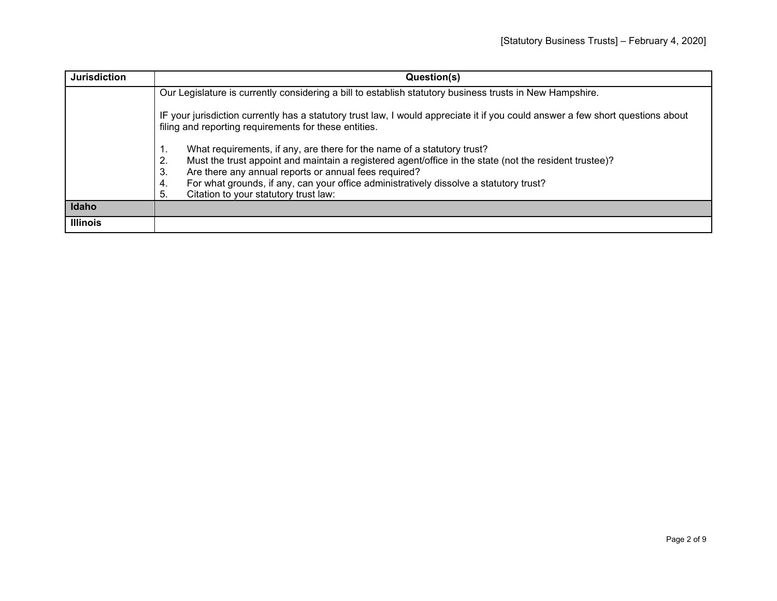| <b>Jurisdiction</b> | Question(s)                                                                                                                                                                                                                                                                                                                                                                                                 |
|---------------------|-------------------------------------------------------------------------------------------------------------------------------------------------------------------------------------------------------------------------------------------------------------------------------------------------------------------------------------------------------------------------------------------------------------|
|                     | Our Legislature is currently considering a bill to establish statutory business trusts in New Hampshire.                                                                                                                                                                                                                                                                                                    |
|                     | IF your jurisdiction currently has a statutory trust law, I would appreciate it if you could answer a few short questions about<br>filing and reporting requirements for these entities.                                                                                                                                                                                                                    |
|                     | What requirements, if any, are there for the name of a statutory trust?<br>1.<br>Must the trust appoint and maintain a registered agent/office in the state (not the resident trustee)?<br>2.<br>Are there any annual reports or annual fees required?<br>3.<br>For what grounds, if any, can your office administratively dissolve a statutory trust?<br>4.<br>Citation to your statutory trust law:<br>5. |
| Idaho               |                                                                                                                                                                                                                                                                                                                                                                                                             |
| <b>Illinois</b>     |                                                                                                                                                                                                                                                                                                                                                                                                             |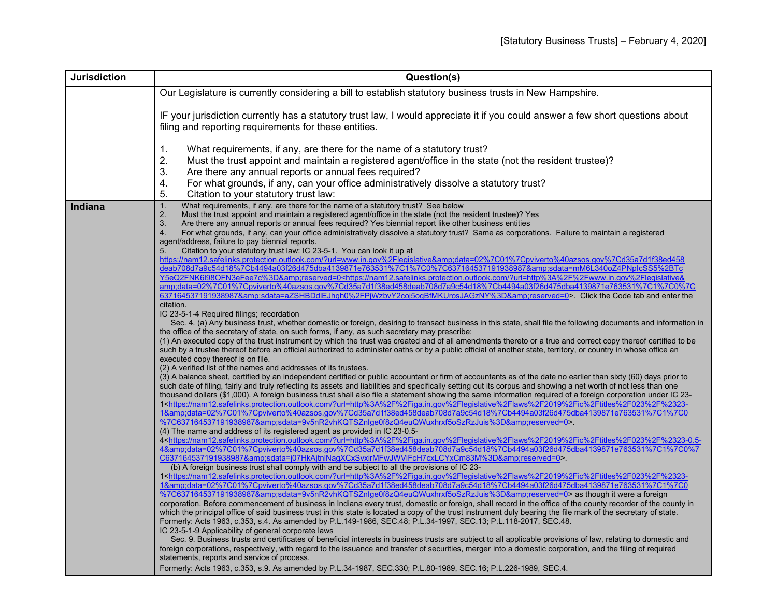| Our Legislature is currently considering a bill to establish statutory business trusts in New Hampshire.<br>IF your jurisdiction currently has a statutory trust law, I would appreciate it if you could answer a few short questions about<br>filing and reporting requirements for these entities.<br>1.<br>What requirements, if any, are there for the name of a statutory trust?<br>2.<br>Must the trust appoint and maintain a registered agent/office in the state (not the resident trustee)?<br>3.<br>Are there any annual reports or annual fees required?<br>4.<br>For what grounds, if any, can your office administratively dissolve a statutory trust?<br>5.<br>Citation to your statutory trust law:<br>What requirements, if any, are there for the name of a statutory trust? See below<br>1.<br><b>Indiana</b> |
|----------------------------------------------------------------------------------------------------------------------------------------------------------------------------------------------------------------------------------------------------------------------------------------------------------------------------------------------------------------------------------------------------------------------------------------------------------------------------------------------------------------------------------------------------------------------------------------------------------------------------------------------------------------------------------------------------------------------------------------------------------------------------------------------------------------------------------|
|                                                                                                                                                                                                                                                                                                                                                                                                                                                                                                                                                                                                                                                                                                                                                                                                                                  |
|                                                                                                                                                                                                                                                                                                                                                                                                                                                                                                                                                                                                                                                                                                                                                                                                                                  |
|                                                                                                                                                                                                                                                                                                                                                                                                                                                                                                                                                                                                                                                                                                                                                                                                                                  |
|                                                                                                                                                                                                                                                                                                                                                                                                                                                                                                                                                                                                                                                                                                                                                                                                                                  |
|                                                                                                                                                                                                                                                                                                                                                                                                                                                                                                                                                                                                                                                                                                                                                                                                                                  |
|                                                                                                                                                                                                                                                                                                                                                                                                                                                                                                                                                                                                                                                                                                                                                                                                                                  |
|                                                                                                                                                                                                                                                                                                                                                                                                                                                                                                                                                                                                                                                                                                                                                                                                                                  |
|                                                                                                                                                                                                                                                                                                                                                                                                                                                                                                                                                                                                                                                                                                                                                                                                                                  |
|                                                                                                                                                                                                                                                                                                                                                                                                                                                                                                                                                                                                                                                                                                                                                                                                                                  |
|                                                                                                                                                                                                                                                                                                                                                                                                                                                                                                                                                                                                                                                                                                                                                                                                                                  |
|                                                                                                                                                                                                                                                                                                                                                                                                                                                                                                                                                                                                                                                                                                                                                                                                                                  |
| Must the trust appoint and maintain a registered agent/office in the state (not the resident trustee)? Yes<br>2.                                                                                                                                                                                                                                                                                                                                                                                                                                                                                                                                                                                                                                                                                                                 |
| 3.<br>Are there any annual reports or annual fees required? Yes biennial report like other business entities<br>For what grounds, if any, can your office administratively dissolve a statutory trust? Same as corporations. Failure to maintain a registered<br>4.                                                                                                                                                                                                                                                                                                                                                                                                                                                                                                                                                              |
| agent/address, failure to pay biennial reports.                                                                                                                                                                                                                                                                                                                                                                                                                                                                                                                                                                                                                                                                                                                                                                                  |
| Citation to your statutory trust law: IC 23-5-1. You can look it up at<br>5.                                                                                                                                                                                                                                                                                                                                                                                                                                                                                                                                                                                                                                                                                                                                                     |
| https://nam12.safelinks.protection.outlook.com/?url=www.in.gov%2Flegislative&data=02%7C01%7Cpviverto%40azsos.gov%7Cd35a7d1f38ed458                                                                                                                                                                                                                                                                                                                                                                                                                                                                                                                                                                                                                                                                                               |
| deab708d7a9c54d18%7Cb4494a03f26d475dba4139871e763531%7C1%7C0%7C637164537191938987&sdata=mM6L340oZ4PNplcSS5%2BTc                                                                                                                                                                                                                                                                                                                                                                                                                                                                                                                                                                                                                                                                                                                  |
| Y5eQ2FNK6l98OFN3eFee7c%3D&reserved=0 <https: ?url="http%3A%2F%2Fwww.in.gov%2Flegislative&amp;&lt;/th" nam12.safelinks.protection.outlook.com=""></https:>                                                                                                                                                                                                                                                                                                                                                                                                                                                                                                                                                                                                                                                                        |
| amp;data=02%7C01%7Cpviverto%40azsos.gov%7Cd35a7d1f38ed458deab708d7a9c54d18%7Cb4494a03f26d475dba4139871e763531%7C1%7C0%7C<br>637164537191938987&sdata=aZSHBDdlEJhqh0%2FPjWzbvY2coj5oqBfMKUrosJAGzNY%3D&reserved=0>. Click the Code tab and enter the                                                                                                                                                                                                                                                                                                                                                                                                                                                                                                                                                                              |
| citation.                                                                                                                                                                                                                                                                                                                                                                                                                                                                                                                                                                                                                                                                                                                                                                                                                        |
| IC 23-5-1-4 Required filings; recordation                                                                                                                                                                                                                                                                                                                                                                                                                                                                                                                                                                                                                                                                                                                                                                                        |
| Sec. 4. (a) Any business trust, whether domestic or foreign, desiring to transact business in this state, shall file the following documents and information in                                                                                                                                                                                                                                                                                                                                                                                                                                                                                                                                                                                                                                                                  |
| the office of the secretary of state, on such forms, if any, as such secretary may prescribe:                                                                                                                                                                                                                                                                                                                                                                                                                                                                                                                                                                                                                                                                                                                                    |
| (1) An executed copy of the trust instrument by which the trust was created and of all amendments thereto or a true and correct copy thereof certified to be                                                                                                                                                                                                                                                                                                                                                                                                                                                                                                                                                                                                                                                                     |
| such by a trustee thereof before an official authorized to administer oaths or by a public official of another state, territory, or country in whose office an<br>executed copy thereof is on file.                                                                                                                                                                                                                                                                                                                                                                                                                                                                                                                                                                                                                              |
| (2) A verified list of the names and addresses of its trustees.                                                                                                                                                                                                                                                                                                                                                                                                                                                                                                                                                                                                                                                                                                                                                                  |
| (3) A balance sheet, certified by an independent certified or public accountant or firm of accountants as of the date no earlier than sixty (60) days prior to                                                                                                                                                                                                                                                                                                                                                                                                                                                                                                                                                                                                                                                                   |
| such date of filing, fairly and truly reflecting its assets and liabilities and specifically setting out its corpus and showing a net worth of not less than one                                                                                                                                                                                                                                                                                                                                                                                                                                                                                                                                                                                                                                                                 |
| thousand dollars (\$1,000). A foreign business trust shall also file a statement showing the same information required of a foreign corporation under IC 23-                                                                                                                                                                                                                                                                                                                                                                                                                                                                                                                                                                                                                                                                     |
| 1 <https: ?url="http%3A%2F%2Figa.in.gov%2Flegislative%2Flaws%2F2019%2Fic%2Ftitles%2F023%2F%2323-&lt;/th" nam12.safelinks.protection.outlook.com=""></https:>                                                                                                                                                                                                                                                                                                                                                                                                                                                                                                                                                                                                                                                                     |
| 1&data=02%7C01%7Cpviverto%40azsos.gov%7Cd35a7d1f38ed458deab708d7a9c54d18%7Cb4494a03f26d475dba4139871e763531%7C1%7C0<br>%7C637164537191938987&sdata=9v5nR2vhKQTSZnIge0f8zQ4euQWuxhrxf5oSzRzJuis%3D&reserved=0>.                                                                                                                                                                                                                                                                                                                                                                                                                                                                                                                                                                                                                   |
| (4) The name and address of its registered agent as provided in IC 23-0.5-                                                                                                                                                                                                                                                                                                                                                                                                                                                                                                                                                                                                                                                                                                                                                       |
| 4 <https: ?url="http%3A%2F%2Figa.in.gov%2Flegislative%2Flaws%2F2019%2Fite%2Ftitles%2F023%2F%2323-0.5-&lt;/th" nam12.safelinks.protection.outlook.com=""></https:>                                                                                                                                                                                                                                                                                                                                                                                                                                                                                                                                                                                                                                                                |
| 4&:data=02%7C01%7Cpviverto%40azsos.gov%7Cd35a7d1f38ed458deab708d7a9c54d18%7Cb4494a03f26d475dba4139871e763531%7C1%7C0%7                                                                                                                                                                                                                                                                                                                                                                                                                                                                                                                                                                                                                                                                                                           |
| C637164537191938987&sdata=j07HkAjtnlNagXCxSvxirMFwJWViFcH7cxLCYxCm83M%3D&reserved=0>.                                                                                                                                                                                                                                                                                                                                                                                                                                                                                                                                                                                                                                                                                                                                            |
| (b) A foreign business trust shall comply with and be subject to all the provisions of IC 23-<br>1 <https: ?url="http%3A%2F%2Figa.in.gov%2Flegislative%2Flaws%2F2019%2Fic%2Ftitles%2F023%2F%2323-&lt;/th" nam12.safelinks.protection.outlook.com=""></https:>                                                                                                                                                                                                                                                                                                                                                                                                                                                                                                                                                                    |
| 1&data=02%7C01%7Cpviverto%40azsos.gov%7Cd35a7d1f38ed458deab708d7a9c54d18%7Cb4494a03f26d475dba4139871e763531%7C1%7C0                                                                                                                                                                                                                                                                                                                                                                                                                                                                                                                                                                                                                                                                                                              |
| %7C637164537191938987&sdata=9v5nR2vhKQTSZnIge0f8zQ4euQWuxhrxf5oSzRzJuis%3D&reserved=0> as though it were a foreign                                                                                                                                                                                                                                                                                                                                                                                                                                                                                                                                                                                                                                                                                                               |
| corporation. Before commencement of business in Indiana every trust, domestic or foreign, shall record in the office of the county recorder of the county in                                                                                                                                                                                                                                                                                                                                                                                                                                                                                                                                                                                                                                                                     |
| which the principal office of said business trust in this state is located a copy of the trust instrument duly bearing the file mark of the secretary of state.                                                                                                                                                                                                                                                                                                                                                                                                                                                                                                                                                                                                                                                                  |
| Formerly: Acts 1963, c.353, s.4. As amended by P.L.149-1986, SEC.48; P.L.34-1997, SEC.13; P.L.118-2017, SEC.48.                                                                                                                                                                                                                                                                                                                                                                                                                                                                                                                                                                                                                                                                                                                  |
| IC 23-5-1-9 Applicability of general corporate laws                                                                                                                                                                                                                                                                                                                                                                                                                                                                                                                                                                                                                                                                                                                                                                              |
| Sec. 9. Business trusts and certificates of beneficial interests in business trusts are subject to all applicable provisions of law, relating to domestic and<br>foreign corporations, respectively, with regard to the issuance and transfer of securities, merger into a domestic corporation, and the filing of required                                                                                                                                                                                                                                                                                                                                                                                                                                                                                                      |
| statements, reports and service of process.                                                                                                                                                                                                                                                                                                                                                                                                                                                                                                                                                                                                                                                                                                                                                                                      |
| Formerly: Acts 1963, c.353, s.9. As amended by P.L.34-1987, SEC.330; P.L.80-1989, SEC.16; P.L.226-1989, SEC.4.                                                                                                                                                                                                                                                                                                                                                                                                                                                                                                                                                                                                                                                                                                                   |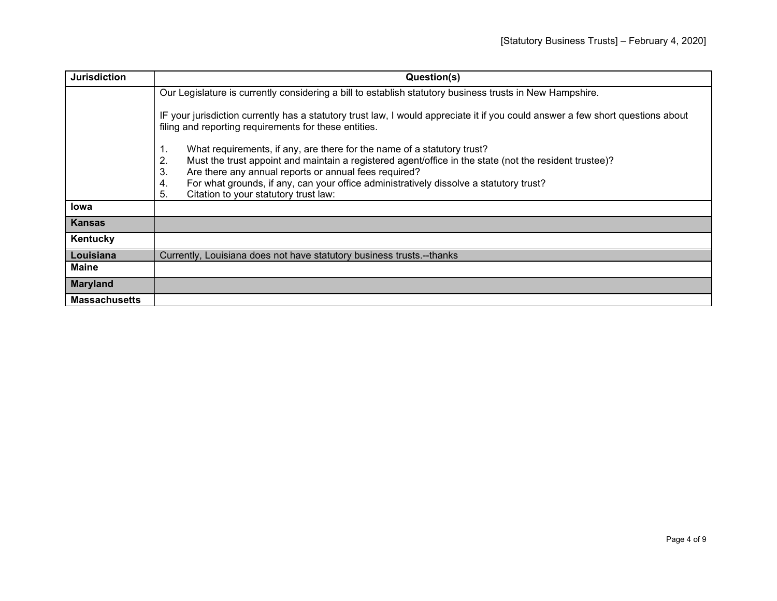| <b>Jurisdiction</b>  | Question(s)                                                                                                                                                                                                                                                                                                                                                                                                 |
|----------------------|-------------------------------------------------------------------------------------------------------------------------------------------------------------------------------------------------------------------------------------------------------------------------------------------------------------------------------------------------------------------------------------------------------------|
|                      | Our Legislature is currently considering a bill to establish statutory business trusts in New Hampshire.                                                                                                                                                                                                                                                                                                    |
|                      | IF your jurisdiction currently has a statutory trust law, I would appreciate it if you could answer a few short questions about<br>filing and reporting requirements for these entities.                                                                                                                                                                                                                    |
|                      | What requirements, if any, are there for the name of a statutory trust?<br>1.<br>Must the trust appoint and maintain a registered agent/office in the state (not the resident trustee)?<br>2.<br>Are there any annual reports or annual fees required?<br>3.<br>For what grounds, if any, can your office administratively dissolve a statutory trust?<br>4.<br>Citation to your statutory trust law:<br>5. |
| <b>lowa</b>          |                                                                                                                                                                                                                                                                                                                                                                                                             |
| <b>Kansas</b>        |                                                                                                                                                                                                                                                                                                                                                                                                             |
| Kentucky             |                                                                                                                                                                                                                                                                                                                                                                                                             |
| Louisiana            | Currently, Louisiana does not have statutory business trusts.--thanks                                                                                                                                                                                                                                                                                                                                       |
| <b>Maine</b>         |                                                                                                                                                                                                                                                                                                                                                                                                             |
| <b>Maryland</b>      |                                                                                                                                                                                                                                                                                                                                                                                                             |
| <b>Massachusetts</b> |                                                                                                                                                                                                                                                                                                                                                                                                             |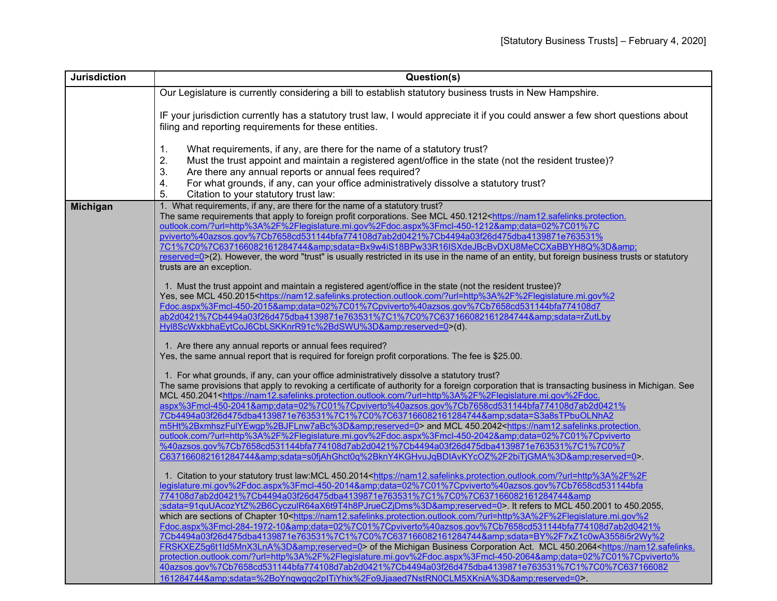| <b>Jurisdiction</b> | Question(s)                                                                                                                                   |
|---------------------|-----------------------------------------------------------------------------------------------------------------------------------------------|
|                     | Our Legislature is currently considering a bill to establish statutory business trusts in New Hampshire.                                      |
|                     |                                                                                                                                               |
|                     | IF your jurisdiction currently has a statutory trust law, I would appreciate it if you could answer a few short questions about               |
|                     | filing and reporting requirements for these entities.                                                                                         |
|                     |                                                                                                                                               |
|                     | 1.<br>What requirements, if any, are there for the name of a statutory trust?                                                                 |
|                     | 2.<br>Must the trust appoint and maintain a registered agent/office in the state (not the resident trustee)?                                  |
|                     | 3.<br>Are there any annual reports or annual fees required?                                                                                   |
|                     | 4.<br>For what grounds, if any, can your office administratively dissolve a statutory trust?                                                  |
|                     | 5.<br>Citation to your statutory trust law:                                                                                                   |
| <b>Michigan</b>     | 1. What requirements, if any, are there for the name of a statutory trust?                                                                    |
|                     | The same requirements that apply to foreign profit corporations. See MCL 450.1212 <https: nam12.safelinks.protection.<="" th=""></https:>     |
|                     | outlook.com/?url=http%3A%2F%2Flegislature.mi.gov%2Fdoc.aspx%3Fmcl-450-1212&data=02%7C01%7C                                                    |
|                     | pviverto%40azsos.gov%7Cb7658cd531144bfa774108d7ab2d0421%7Cb4494a03f26d475dba4139871e763531%                                                   |
|                     | 7C1%7C0%7C637166082161284744&sdata=Bx9w4iS18BPw33R16ISXdeJBcBvDXU8MeCCXaBBYH8Q%3D&                                                            |
|                     | reserved=0>(2). However, the word "trust" is usually restricted in its use in the name of an entity, but foreign business trusts or statutory |
|                     | trusts are an exception.                                                                                                                      |
|                     | 1. Must the trust appoint and maintain a registered agent/office in the state (not the resident trustee)?                                     |
|                     | Yes, see MCL 450.2015 <https: ?url="http%3A%2F%2Flegislature.mi.gov%2&lt;/th" nam12.safelinks.protection.outlook.com=""></https:>             |
|                     | Fdoc.aspx%3Fmcl-450-2015&data=02%7C01%7Cpviverto%40azsos.gov%7Cb7658cd531144bfa774108d7                                                       |
|                     | ab2d0421%7Cb4494a03f26d475dba4139871e763531%7C1%7C0%7C637166082161284744&sdata=rZutLby                                                        |
|                     | Hyl8ScWxkbhaEytCoJ6CbLSKKnrR91c%2BdSWU%3D&reserved=0>(d).                                                                                     |
|                     |                                                                                                                                               |
|                     | 1. Are there any annual reports or annual fees required?                                                                                      |
|                     | Yes, the same annual report that is required for foreign profit corporations. The fee is \$25.00.                                             |
|                     | 1. For what grounds, if any, can your office administratively dissolve a statutory trust?                                                     |
|                     | The same provisions that apply to revoking a certificate of authority for a foreign corporation that is transacting business in Michigan. See |
|                     | MCL 450.2041 <https: ?url="http%3A%2F%2Flegislature.mi.gov%2Fdoc.&lt;/th" nam12.safelinks.protection.outlook.com=""></https:>                 |
|                     | aspx%3Fmcl-450-2041&data=02%7C01%7Cpviverto%40azsos.gov%7Cb7658cd531144bfa774108d7ab2d0421%                                                   |
|                     | 7Cb4494a03f26d475dba4139871e763531%7C1%7C0%7C637166082161284744&sdata=S3a8sTPbuOLNhA2                                                         |
|                     | m5Ht%2BxmhszFulYEwgp%2BJFLnw7aBc%3D&reserved=0> and MCL 450.2042 <https: nam12.safelinks.protection.<="" th=""></https:>                      |
|                     | outlook.com/?url=http%3A%2F%2Fleqislature.mi.gov%2Fdoc.aspx%3Fmcl-450-2042&data=02%7C01%7Cpviverto                                            |
|                     | %40azsos.gov%7Cb7658cd531144bfa774108d7ab2d0421%7Cb4494a03f26d475dba4139871e763531%7C1%7C0%7                                                  |
|                     | C637166082161284744&sdata=s0fjAhGhct0q%2BknY4KGHvuJqBDIAvKYcOZ%2F2biTjGMA%3D&reserved=0>.                                                     |
|                     | 1. Citation to your statutory trust law:MCL 450.2014 <https: ?url="http%3A%2F%2F&lt;/th" nam12.safelinks.protection.outlook.com=""></https:>  |
|                     | legislature.mi.gov%2Fdoc.aspx%3Fmcl-450-2014&data=02%7C01%7Cpviverto%40azsos.gov%7Cb7658cd531144bfa                                           |
|                     | 774108d7ab2d0421%7Cb4494a03f26d475dba4139871e763531%7C1%7C0%7C637166082161284744&                                                             |
|                     | ;sdata=91quUAcozYtZ%2B6CyczulR64aX6t9T4h8PJrueCZjDms%3D&reserved=0>. It refers to MCL 450.2001 to 450.2055,                                   |
|                     | which are sections of Chapter 10 <https: ?url="http%3A%2F%2Flegislature.mi.gov%2&lt;/th" nam12.safelinks.protection.outlook.com=""></https:>  |
|                     | Fdoc.aspx%3Fmcl-284-1972-10&data=02%7C01%7Cpviverto%40azsos.gov%7Cb7658cd531144bfa774108d7ab2d0421%                                           |
|                     | 7Cb4494a03f26d475dba4139871e763531%7C1%7C0%7C637166082161284744&sdata=BY%2F7xZ1c0wA3558i5r2Wy%2                                               |
|                     | FRSKXEZ5g6t1ld5MnX3LnA%3D&reserved=0> of the Michigan Business Corporation Act. MCL 450.2064 <https: nam12.safelinks.<="" th=""></https:>     |
|                     | protection.outlook.com/?url=http%3A%2F%2Flegislature.mi.gov%2Fdoc.aspx%3Fmcl-450-2064&data=02%7C01%7Cpviverto%                                |
|                     | 40azsos.gov%7Cb7658cd531144bfa774108d7ab2d0421%7Cb4494a03f26d475dba4139871e763531%7C1%7C0%7C637166082                                         |
|                     | 161284744&sdata=%2BoYnqwgqc2pITiYhix%2Fo9Jjaaed7NstRN0CLM5XKniA%3D&reserved=0>.                                                               |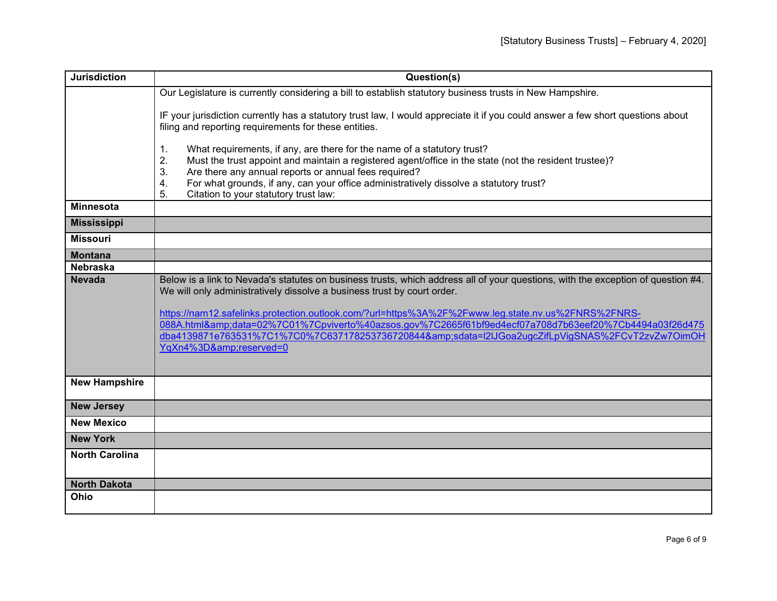| <b>Jurisdiction</b>   | Question(s)                                                                                                                                                                                                                                                                                                                                                                                                                                                                                                                                     |
|-----------------------|-------------------------------------------------------------------------------------------------------------------------------------------------------------------------------------------------------------------------------------------------------------------------------------------------------------------------------------------------------------------------------------------------------------------------------------------------------------------------------------------------------------------------------------------------|
|                       | Our Legislature is currently considering a bill to establish statutory business trusts in New Hampshire.                                                                                                                                                                                                                                                                                                                                                                                                                                        |
|                       | IF your jurisdiction currently has a statutory trust law, I would appreciate it if you could answer a few short questions about<br>filing and reporting requirements for these entities.                                                                                                                                                                                                                                                                                                                                                        |
|                       | 1.<br>What requirements, if any, are there for the name of a statutory trust?<br>Must the trust appoint and maintain a registered agent/office in the state (not the resident trustee)?<br>2.<br>Are there any annual reports or annual fees required?<br>3.<br>For what grounds, if any, can your office administratively dissolve a statutory trust?<br>4.<br>5.<br>Citation to your statutory trust law:                                                                                                                                     |
| <b>Minnesota</b>      |                                                                                                                                                                                                                                                                                                                                                                                                                                                                                                                                                 |
| <b>Mississippi</b>    |                                                                                                                                                                                                                                                                                                                                                                                                                                                                                                                                                 |
| <b>Missouri</b>       |                                                                                                                                                                                                                                                                                                                                                                                                                                                                                                                                                 |
| <b>Montana</b>        |                                                                                                                                                                                                                                                                                                                                                                                                                                                                                                                                                 |
| <b>Nebraska</b>       |                                                                                                                                                                                                                                                                                                                                                                                                                                                                                                                                                 |
| <b>Nevada</b>         | Below is a link to Nevada's statutes on business trusts, which address all of your questions, with the exception of question #4.<br>We will only administratively dissolve a business trust by court order.<br>https://nam12.safelinks.protection.outlook.com/?url=https%3A%2F%2Fwww.leg.state.nv.us%2FNRS%2FNRS-<br>088A.html&data=02%7C01%7Cpviverto%40azsos.gov%7C2665f61bf9ed4ecf07a708d7b63eef20%7Cb4494a03f26d475<br>dba4139871e763531%7C1%7C0%7C637178253736720844&sdata=l2lJGoa2ugcZifLpVigSNAS%2FCvT2zvZw7OimOH<br>YqXn4%3D&reserved=0 |
| <b>New Hampshire</b>  |                                                                                                                                                                                                                                                                                                                                                                                                                                                                                                                                                 |
| <b>New Jersey</b>     |                                                                                                                                                                                                                                                                                                                                                                                                                                                                                                                                                 |
| <b>New Mexico</b>     |                                                                                                                                                                                                                                                                                                                                                                                                                                                                                                                                                 |
| <b>New York</b>       |                                                                                                                                                                                                                                                                                                                                                                                                                                                                                                                                                 |
| <b>North Carolina</b> |                                                                                                                                                                                                                                                                                                                                                                                                                                                                                                                                                 |
| <b>North Dakota</b>   |                                                                                                                                                                                                                                                                                                                                                                                                                                                                                                                                                 |
| Ohio                  |                                                                                                                                                                                                                                                                                                                                                                                                                                                                                                                                                 |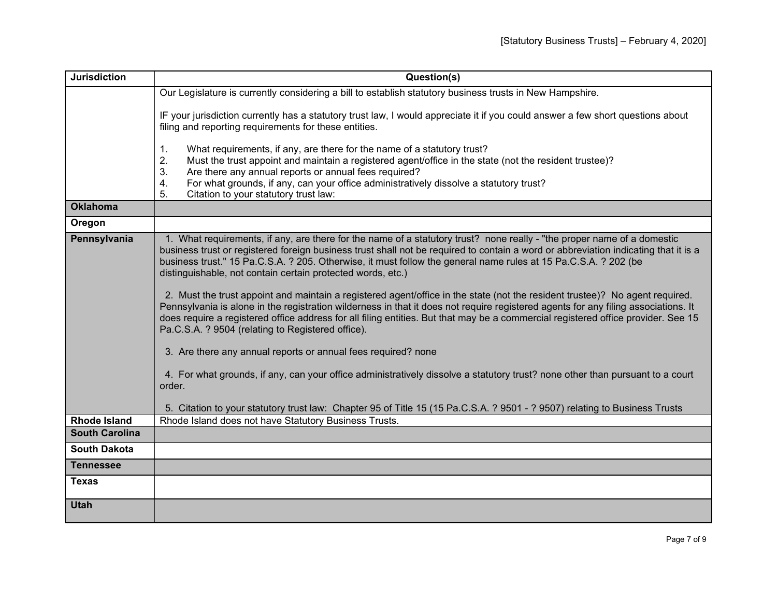| <b>Jurisdiction</b>   | Question(s)                                                                                                                                                                                                                                                                                                                                                                                                                                                                                                                                                                                                                                                                                                                                                                                                                                                                                                                                                                                                                                                                                                                                                                                                                                                |
|-----------------------|------------------------------------------------------------------------------------------------------------------------------------------------------------------------------------------------------------------------------------------------------------------------------------------------------------------------------------------------------------------------------------------------------------------------------------------------------------------------------------------------------------------------------------------------------------------------------------------------------------------------------------------------------------------------------------------------------------------------------------------------------------------------------------------------------------------------------------------------------------------------------------------------------------------------------------------------------------------------------------------------------------------------------------------------------------------------------------------------------------------------------------------------------------------------------------------------------------------------------------------------------------|
|                       | Our Legislature is currently considering a bill to establish statutory business trusts in New Hampshire.                                                                                                                                                                                                                                                                                                                                                                                                                                                                                                                                                                                                                                                                                                                                                                                                                                                                                                                                                                                                                                                                                                                                                   |
|                       | IF your jurisdiction currently has a statutory trust law, I would appreciate it if you could answer a few short questions about<br>filing and reporting requirements for these entities.                                                                                                                                                                                                                                                                                                                                                                                                                                                                                                                                                                                                                                                                                                                                                                                                                                                                                                                                                                                                                                                                   |
|                       | 1.<br>What requirements, if any, are there for the name of a statutory trust?<br>2.<br>Must the trust appoint and maintain a registered agent/office in the state (not the resident trustee)?<br>3.<br>Are there any annual reports or annual fees required?<br>For what grounds, if any, can your office administratively dissolve a statutory trust?<br>4.<br>Citation to your statutory trust law:<br>5.                                                                                                                                                                                                                                                                                                                                                                                                                                                                                                                                                                                                                                                                                                                                                                                                                                                |
| <b>Oklahoma</b>       |                                                                                                                                                                                                                                                                                                                                                                                                                                                                                                                                                                                                                                                                                                                                                                                                                                                                                                                                                                                                                                                                                                                                                                                                                                                            |
| Oregon                |                                                                                                                                                                                                                                                                                                                                                                                                                                                                                                                                                                                                                                                                                                                                                                                                                                                                                                                                                                                                                                                                                                                                                                                                                                                            |
| Pennsylvania          | 1. What requirements, if any, are there for the name of a statutory trust? none really - "the proper name of a domestic<br>business trust or registered foreign business trust shall not be required to contain a word or abbreviation indicating that it is a<br>business trust." 15 Pa.C.S.A. ? 205. Otherwise, it must follow the general name rules at 15 Pa.C.S.A. ? 202 (be<br>distinguishable, not contain certain protected words, etc.)<br>2. Must the trust appoint and maintain a registered agent/office in the state (not the resident trustee)? No agent required.<br>Pennsylvania is alone in the registration wilderness in that it does not require registered agents for any filing associations. It<br>does require a registered office address for all filing entities. But that may be a commercial registered office provider. See 15<br>Pa.C.S.A. ? 9504 (relating to Registered office).<br>3. Are there any annual reports or annual fees required? none<br>4. For what grounds, if any, can your office administratively dissolve a statutory trust? none other than pursuant to a court<br>order.<br>5. Citation to your statutory trust law: Chapter 95 of Title 15 (15 Pa.C.S.A. ? 9501 - ? 9507) relating to Business Trusts |
| <b>Rhode Island</b>   | Rhode Island does not have Statutory Business Trusts.                                                                                                                                                                                                                                                                                                                                                                                                                                                                                                                                                                                                                                                                                                                                                                                                                                                                                                                                                                                                                                                                                                                                                                                                      |
| <b>South Carolina</b> |                                                                                                                                                                                                                                                                                                                                                                                                                                                                                                                                                                                                                                                                                                                                                                                                                                                                                                                                                                                                                                                                                                                                                                                                                                                            |
| <b>South Dakota</b>   |                                                                                                                                                                                                                                                                                                                                                                                                                                                                                                                                                                                                                                                                                                                                                                                                                                                                                                                                                                                                                                                                                                                                                                                                                                                            |
| <b>Tennessee</b>      |                                                                                                                                                                                                                                                                                                                                                                                                                                                                                                                                                                                                                                                                                                                                                                                                                                                                                                                                                                                                                                                                                                                                                                                                                                                            |
| <b>Texas</b>          |                                                                                                                                                                                                                                                                                                                                                                                                                                                                                                                                                                                                                                                                                                                                                                                                                                                                                                                                                                                                                                                                                                                                                                                                                                                            |
| <b>Utah</b>           |                                                                                                                                                                                                                                                                                                                                                                                                                                                                                                                                                                                                                                                                                                                                                                                                                                                                                                                                                                                                                                                                                                                                                                                                                                                            |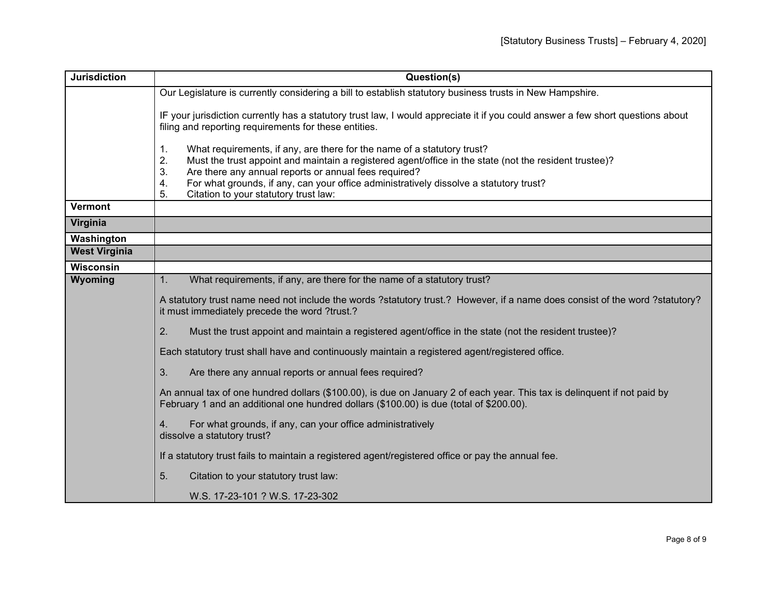| <b>Jurisdiction</b>  | Question(s)                                                                                                                                                                                                                                                                                                                                                                                                 |
|----------------------|-------------------------------------------------------------------------------------------------------------------------------------------------------------------------------------------------------------------------------------------------------------------------------------------------------------------------------------------------------------------------------------------------------------|
|                      | Our Legislature is currently considering a bill to establish statutory business trusts in New Hampshire.                                                                                                                                                                                                                                                                                                    |
|                      | IF your jurisdiction currently has a statutory trust law, I would appreciate it if you could answer a few short questions about<br>filing and reporting requirements for these entities.                                                                                                                                                                                                                    |
|                      | 1.<br>What requirements, if any, are there for the name of a statutory trust?<br>Must the trust appoint and maintain a registered agent/office in the state (not the resident trustee)?<br>2.<br>3.<br>Are there any annual reports or annual fees required?<br>For what grounds, if any, can your office administratively dissolve a statutory trust?<br>4.<br>5.<br>Citation to your statutory trust law: |
| <b>Vermont</b>       |                                                                                                                                                                                                                                                                                                                                                                                                             |
| Virginia             |                                                                                                                                                                                                                                                                                                                                                                                                             |
| Washington           |                                                                                                                                                                                                                                                                                                                                                                                                             |
| <b>West Virginia</b> |                                                                                                                                                                                                                                                                                                                                                                                                             |
| <b>Wisconsin</b>     |                                                                                                                                                                                                                                                                                                                                                                                                             |
| Wyoming              | What requirements, if any, are there for the name of a statutory trust?<br>1.                                                                                                                                                                                                                                                                                                                               |
|                      | A statutory trust name need not include the words ?statutory trust.? However, if a name does consist of the word ?statutory?<br>it must immediately precede the word ?trust.?                                                                                                                                                                                                                               |
|                      | 2.<br>Must the trust appoint and maintain a registered agent/office in the state (not the resident trustee)?                                                                                                                                                                                                                                                                                                |
|                      | Each statutory trust shall have and continuously maintain a registered agent/registered office.                                                                                                                                                                                                                                                                                                             |
|                      | 3.<br>Are there any annual reports or annual fees required?                                                                                                                                                                                                                                                                                                                                                 |
|                      | An annual tax of one hundred dollars (\$100.00), is due on January 2 of each year. This tax is delinquent if not paid by<br>February 1 and an additional one hundred dollars (\$100.00) is due (total of \$200.00).                                                                                                                                                                                         |
|                      | For what grounds, if any, can your office administratively<br>4.<br>dissolve a statutory trust?                                                                                                                                                                                                                                                                                                             |
|                      | If a statutory trust fails to maintain a registered agent/registered office or pay the annual fee.                                                                                                                                                                                                                                                                                                          |
|                      | 5.<br>Citation to your statutory trust law:                                                                                                                                                                                                                                                                                                                                                                 |
|                      | W.S. 17-23-101 ? W.S. 17-23-302                                                                                                                                                                                                                                                                                                                                                                             |